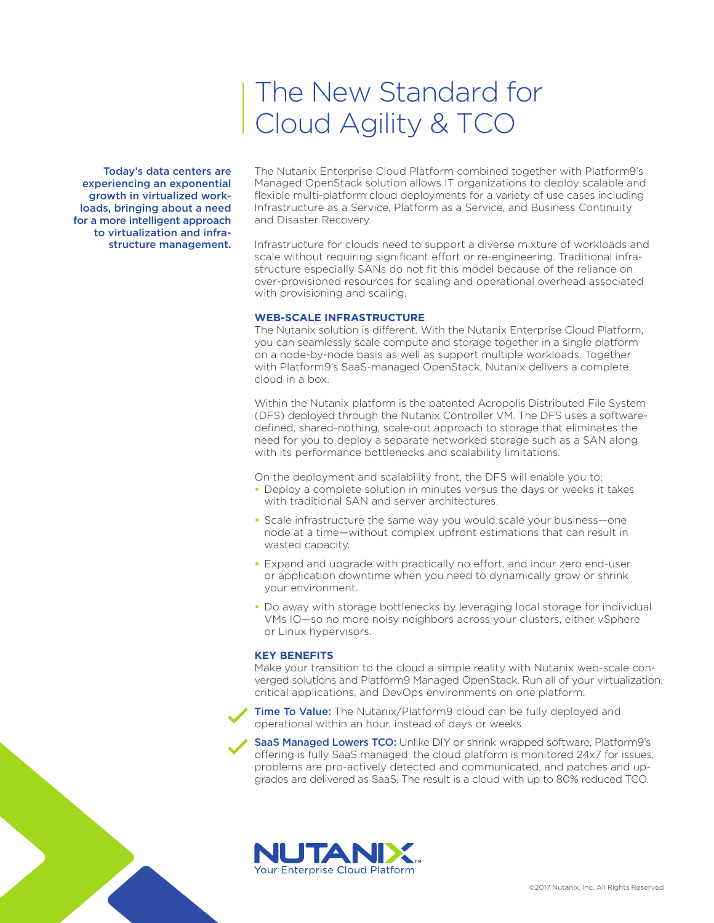# The New Standard for Cloud Agility & TCO

Today's data centers are experiencing an exponential growth in virtualized workloads, bringing about a need for a more intelligent approach to virtualization and infrastructure management.

The Nutanix Enterprise Cloud Platform combined together with Platform9's Managed OpenStack solution allows IT organizations to deploy scalable and flexible multi-platform cloud deployments for a variety of use cases including Infrastructure as a Service, Platform as a Service, and Business Continuity and Disaster Recovery.

Infrastructure for clouds need to support a diverse mixture of workloads and scale without requiring significant effort or re-engineering. Traditional infrastructure especially SANs do not fit this model because of the reliance on over-provisioned resources for scaling and operational overhead associated with provisioning and scaling.

#### **WEB-SCALE INFRASTRUCTURE**

The Nutanix solution is different. With the Nutanix Enterprise Cloud Platform, you can seamlessly scale compute and storage together in a single platform on a node-by-node basis as well as support multiple workloads. Together with Platform9's SaaS-managed OpenStack, Nutanix delivers a complete cloud in a box.

Within the Nutanix platform is the patented Acropolis Distributed File System (DFS) deployed through the Nutanix Controller VM. The DFS uses a softwaredefined, shared-nothing, scale-out approach to storage that eliminates the need for you to deploy a separate networked storage such as a SAN along with its performance bottlenecks and scalability limitations.

On the deployment and scalability front, the DFS will enable you to:

- **•** Deploy a complete solution in minutes versus the days or weeks it takes with traditional SAN and server architectures.
- **•** Scale infrastructure the same way you would scale your business—one node at a time—without complex upfront estimations that can result in wasted capacity.
- **•** Expand and upgrade with practically no effort, and incur zero end-user or application downtime when you need to dynamically grow or shrink your environment.
- **•** Do away with storage bottlenecks by leveraging local storage for individual VMs IO—so no more noisy neighbors across your clusters, either vSphere or Linux hypervisors.

#### **KEY BENEFITS**

Make your transition to the cloud a simple reality with Nutanix web-scale converged solutions and Platform9 Managed OpenStack. Run all of your virtualization, critical applications, and DevOps environments on one platform.

Time To Value: The Nutanix/Platform9 cloud can be fully deployed and operational within an hour, instead of days or weeks.

SaaS Managed Lowers TCO: Unlike DIY or shrink wrapped software, Platform9's offering is fully SaaS managed: the cloud platform is monitored 24x7 for issues, problems are pro-actively detected and communicated, and patches and upgrades are delivered as SaaS. The result is a cloud with up to 80% reduced TCO.

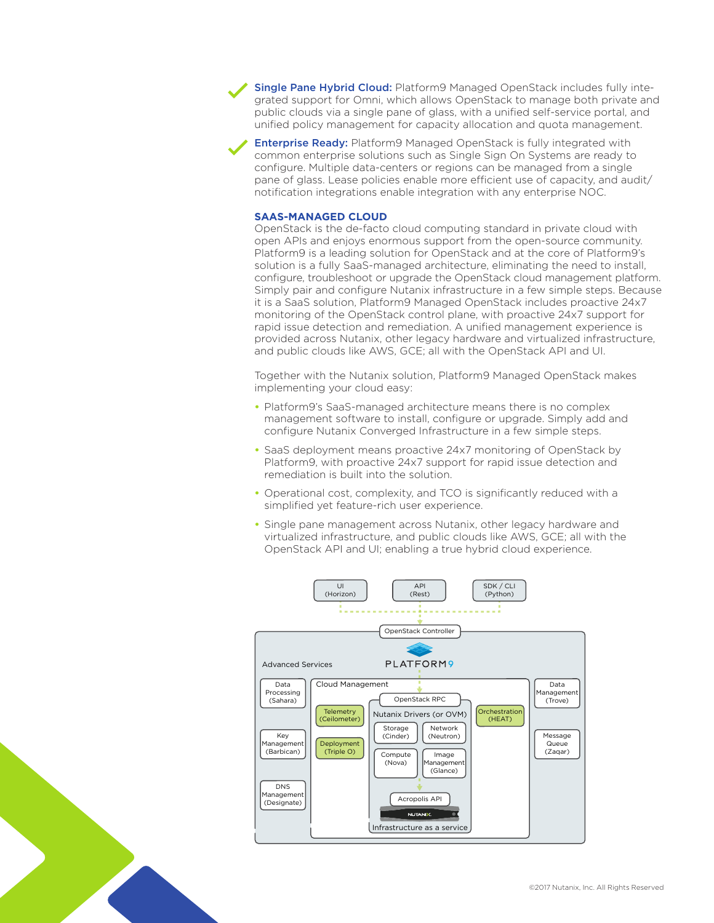Single Pane Hybrid Cloud: Platform9 Managed OpenStack includes fully integrated support for Omni, which allows OpenStack to manage both private and public clouds via a single pane of glass, with a unified self-service portal, and unified policy management for capacity allocation and quota management.

**Enterprise Ready:** Platform9 Managed OpenStack is fully integrated with common enterprise solutions such as Single Sign On Systems are ready to configure. Multiple data-centers or regions can be managed from a single pane of glass. Lease policies enable more efficient use of capacity, and audit/ notification integrations enable integration with any enterprise NOC.

#### **SAAS-MANAGED CLOUD**

OpenStack is the de-facto cloud computing standard in private cloud with open APIs and enjoys enormous support from the open-source community. Platform9 is a leading solution for OpenStack and at the core of Platform9's solution is a fully SaaS-managed architecture, eliminating the need to install, configure, troubleshoot or upgrade the OpenStack cloud management platform. Simply pair and configure Nutanix infrastructure in a few simple steps. Because it is a SaaS solution, Platform9 Managed OpenStack includes proactive 24x7 monitoring of the OpenStack control plane, with proactive 24x7 support for rapid issue detection and remediation. A unified management experience is provided across Nutanix, other legacy hardware and virtualized infrastructure, and public clouds like AWS, GCE; all with the OpenStack API and UI.

Together with the Nutanix solution, Platform9 Managed OpenStack makes implementing your cloud easy:

- **•** Platform9's SaaS-managed architecture means there is no complex management software to install, configure or upgrade. Simply add and configure Nutanix Converged Infrastructure in a few simple steps.
- **•** SaaS deployment means proactive 24x7 monitoring of OpenStack by Platform9, with proactive 24x7 support for rapid issue detection and remediation is built into the solution.
- **•** Operational cost, complexity, and TCO is significantly reduced with a simplified yet feature-rich user experience.
- **•** Single pane management across Nutanix, other legacy hardware and virtualized infrastructure, and public clouds like AWS, GCE; all with the OpenStack API and UI; enabling a true hybrid cloud experience.